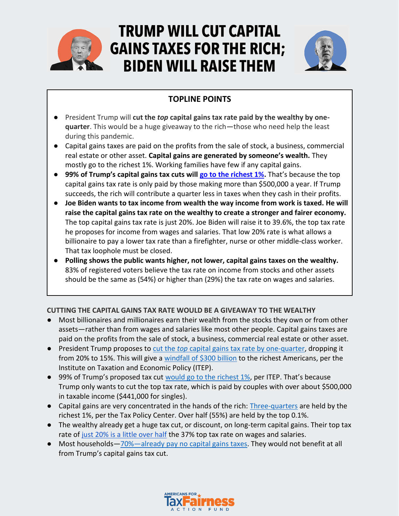

# **TRUMP WILL CUT CAPITAL GAINS TAXES FOR THE RICH: BIDEN WILL RAISE THEM**



# **TOPLINE POINTS**

- President Trump will **cut the** *top* **capital gains tax rate paid by the wealthy by onequarter**. This would be a huge giveaway to the rich—those who need help the least during this pandemic.
- Capital gains taxes are paid on the profits from the sale of stock, a business, commercial real estate or other asset. **Capital gains are generated by someone's wealth.** They mostly go to the richest 1%. Working families have few if any capital gains.
- **99% of Trump's capital gains tax cuts will [go to the richest 1%.](https://itep.org/analysis-trumps-proposed-capital-gains-break-almost-exclusively-benefits-top-1-percent/)** That's because the top capital gains tax rate is only paid by those making more than \$500,000 a year. If Trump succeeds, the rich will contribute a quarter less in taxes when they cash in their profits.
- **Joe Biden wants to tax income from wealth the way income from work is taxed. He will raise the capital gains tax rate on the wealthy to create a stronger and fairer economy.** The top capital gains tax rate is just 20%. Joe Biden will raise it to 39.6%, the top tax rate he proposes for income from wages and salaries. That low 20% rate is what allows a billionaire to pay a lower tax rate than a firefighter, nurse or other middle-class worker. That tax loophole must be closed.
- **Polling shows the public wants higher, not lower, capital gains taxes on the wealthy.** 83% of registered voters believe the tax rate on income from stocks and other assets should be the same as (54%) or higher than (29%) the tax rate on wages and salaries.

## **CUTTING THE CAPITAL GAINS TAX RATE WOULD BE A GIVEAWAY TO THE WEALTHY**

- Most billionaires and millionaires earn their wealth from the stocks they own or from other assets—rather than from wages and salaries like most other people. Capital gains taxes are paid on the profits from the sale of stock, a business, commercial real estate or other asset.
- President Trump proposes to [cut the](https://www.foxbusiness.com/money/trump-pledges-to-cut-capital-gains-tax-in-second-term) *[top](https://www.foxbusiness.com/money/trump-pledges-to-cut-capital-gains-tax-in-second-term)* [capital gains tax rate by one-quarter,](https://www.foxbusiness.com/money/trump-pledges-to-cut-capital-gains-tax-in-second-term) dropping it from 20% to 15%. This will give a [windfall of \\$300 billion](https://itep.org/analysis-trumps-proposed-capital-gains-break-almost-exclusively-benefits-top-1-percent/) to the richest Americans, per the Institute on Taxation and Economic Policy (ITEP).
- 99% of Trump's proposed tax cut [would go to the richest 1%,](https://itep.org/analysis-trumps-proposed-capital-gains-break-almost-exclusively-benefits-top-1-percent/) per ITEP. That's because Trump only wants to cut the top tax rate, which is paid by couples with over about \$500,000 in taxable income (\$441,000 for singles).
- Capital gains are very concentrated in the hands of the rich: [Three-quarters](https://www.taxpolicycenter.org/taxvox/capital-gains-cuts-wont-cure-covid-19-economy) are held by the richest 1%, per the Tax Policy Center. Over half (55%) are held by the top 0.1%.
- The wealthy already get a huge tax cut, or discount, on long-term capital gains. Their top tax rate o[f](https://www.investopedia.com/ask/answers/052015/what-difference-between-income-tax-and-capital-gains-tax.asp#:~:text=For%202020%2C%20the%20thresholds%20are%20slightly%20higher%3A%20you,your%20income%20is%20greater%20than%20%24441%2C450.%207%20%EF%BB%BF) [just 20% is a little over half](https://www.investopedia.com/ask/answers/052015/what-difference-between-income-tax-and-capital-gains-tax.asp#:~:text=For%202020%2C%20the%20thresholds%20are%20slightly%20higher%3A%20you,your%20income%20is%20greater%20than%20%24441%2C450.%207%20%EF%BB%BF) the 37% top tax rate on wages and salaries.
- Most households-70%-[already pay no capital gains taxes.](https://twitter.com/jacsamoby/status/1293212110957182977/photo/1) They would not benefit at all from Trump's capital gains tax cut.